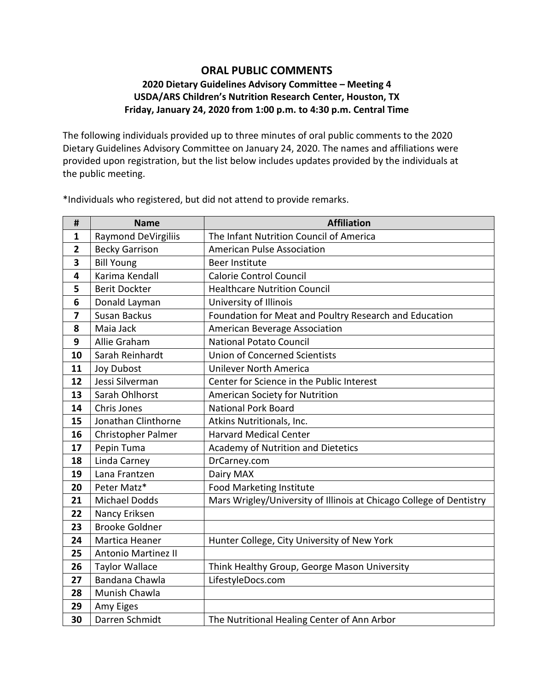## **ORAL PUBLIC COMMENTS 2020 Dietary Guidelines Advisory Committee – Meeting 4 USDA/ARS Children's Nutrition Research Center, Houston, TX Friday, January 24, 2020 from 1:00 p.m. to 4:30 p.m. Central Time**

The following individuals provided up to three minutes of oral public comments to the 2020 Dietary Guidelines Advisory Committee on January 24, 2020. The names and affiliations were provided upon registration, but the list below includes updates provided by the individuals at the public meeting.

| #              | <b>Name</b>                | <b>Affiliation</b>                                                  |
|----------------|----------------------------|---------------------------------------------------------------------|
| 1              | <b>Raymond DeVirgiliis</b> | The Infant Nutrition Council of America                             |
| $\overline{2}$ | <b>Becky Garrison</b>      | <b>American Pulse Association</b>                                   |
| 3              | <b>Bill Young</b>          | <b>Beer Institute</b>                                               |
| 4              | Karima Kendall             | <b>Calorie Control Council</b>                                      |
| 5              | <b>Berit Dockter</b>       | <b>Healthcare Nutrition Council</b>                                 |
| 6              | Donald Layman              | University of Illinois                                              |
| 7              | Susan Backus               | Foundation for Meat and Poultry Research and Education              |
| 8              | Maia Jack                  | American Beverage Association                                       |
| 9              | Allie Graham               | <b>National Potato Council</b>                                      |
| 10             | Sarah Reinhardt            | <b>Union of Concerned Scientists</b>                                |
| 11             | <b>Joy Dubost</b>          | <b>Unilever North America</b>                                       |
| 12             | Jessi Silverman            | Center for Science in the Public Interest                           |
| 13             | Sarah Ohlhorst             | <b>American Society for Nutrition</b>                               |
| 14             | Chris Jones                | <b>National Pork Board</b>                                          |
| 15             | Jonathan Clinthorne        | Atkins Nutritionals, Inc.                                           |
| 16             | Christopher Palmer         | <b>Harvard Medical Center</b>                                       |
| 17             | Pepin Tuma                 | Academy of Nutrition and Dietetics                                  |
| 18             | Linda Carney               | DrCarney.com                                                        |
| 19             | Lana Frantzen              | Dairy MAX                                                           |
| 20             | Peter Matz*                | <b>Food Marketing Institute</b>                                     |
| 21             | <b>Michael Dodds</b>       | Mars Wrigley/University of Illinois at Chicago College of Dentistry |
| 22             | Nancy Eriksen              |                                                                     |
| 23             | <b>Brooke Goldner</b>      |                                                                     |
| 24             | Martica Heaner             | Hunter College, City University of New York                         |
| 25             | <b>Antonio Martinez II</b> |                                                                     |
| 26             | <b>Taylor Wallace</b>      | Think Healthy Group, George Mason University                        |
| 27             | Bandana Chawla             | LifestyleDocs.com                                                   |
| 28             | Munish Chawla              |                                                                     |
| 29             | Amy Eiges                  |                                                                     |
| 30             | Darren Schmidt             | The Nutritional Healing Center of Ann Arbor                         |

\*Individuals who registered, but did not attend to provide remarks.